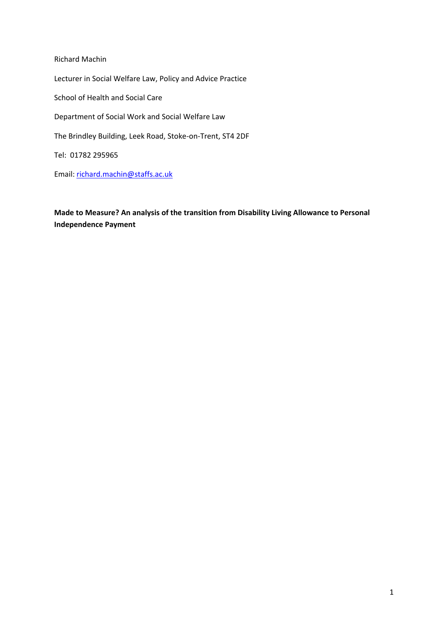Richard Machin Lecturer in Social Welfare Law, Policy and Advice Practice School of Health and Social Care Department of Social Work and Social Welfare Law The Brindley Building, Leek Road, Stoke-on-Trent, ST4 2DF Tel: 01782 295965

Email: [richard.machin@staffs.ac.uk](mailto:richard.machin@staffs.ac.uk)

**Made to Measure? An analysis of the transition from Disability Living Allowance to Personal Independence Payment**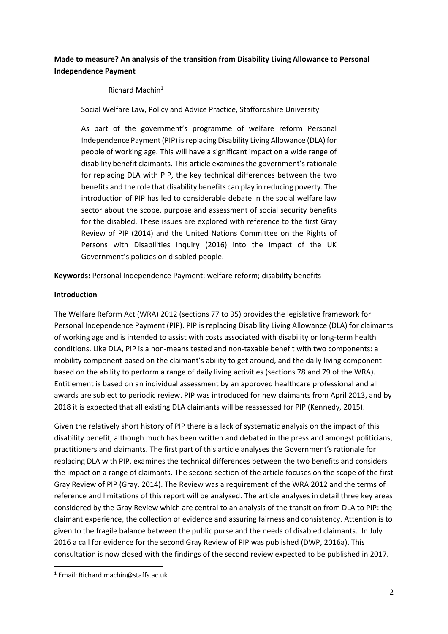# **Made to measure? An analysis of the transition from Disability Living Allowance to Personal Independence Payment**

Richard Machin<sup>1</sup>

Social Welfare Law, Policy and Advice Practice, Staffordshire University

As part of the government's programme of welfare reform Personal Independence Payment (PIP) is replacing Disability Living Allowance (DLA) for people of working age. This will have a significant impact on a wide range of disability benefit claimants. This article examines the government's rationale for replacing DLA with PIP, the key technical differences between the two benefits and the role that disability benefits can play in reducing poverty. The introduction of PIP has led to considerable debate in the social welfare law sector about the scope, purpose and assessment of social security benefits for the disabled. These issues are explored with reference to the first Gray Review of PIP (2014) and the United Nations Committee on the Rights of Persons with Disabilities Inquiry (2016) into the impact of the UK Government's policies on disabled people.

**Keywords:** Personal Independence Payment; welfare reform; disability benefits

## **Introduction**

The Welfare Reform Act (WRA) 2012 (sections 77 to 95) provides the legislative framework for Personal Independence Payment (PIP). PIP is replacing Disability Living Allowance (DLA) for claimants of working age and is intended to assist with costs associated with disability or long-term health conditions. Like DLA, PIP is a non-means tested and non-taxable benefit with two components: a mobility component based on the claimant's ability to get around, and the daily living component based on the ability to perform a range of daily living activities (sections 78 and 79 of the WRA). Entitlement is based on an individual assessment by an approved healthcare professional and all awards are subject to periodic review. PIP was introduced for new claimants from April 2013, and by 2018 it is expected that all existing DLA claimants will be reassessed for PIP (Kennedy, 2015).

Given the relatively short history of PIP there is a lack of systematic analysis on the impact of this disability benefit, although much has been written and debated in the press and amongst politicians, practitioners and claimants. The first part of this article analyses the Government's rationale for replacing DLA with PIP, examines the technical differences between the two benefits and considers the impact on a range of claimants. The second section of the article focuses on the scope of the first Gray Review of PIP (Gray, 2014). The Review was a requirement of the WRA 2012 and the terms of reference and limitations of this report will be analysed. The article analyses in detail three key areas considered by the Gray Review which are central to an analysis of the transition from DLA to PIP: the claimant experience, the collection of evidence and assuring fairness and consistency. Attention is to given to the fragile balance between the public purse and the needs of disabled claimants. In July 2016 a call for evidence for the second Gray Review of PIP was published (DWP, 2016a). This consultation is now closed with the findings of the second review expected to be published in 2017.

**.** 

<sup>1</sup> Email: Richard.machin@staffs.ac.uk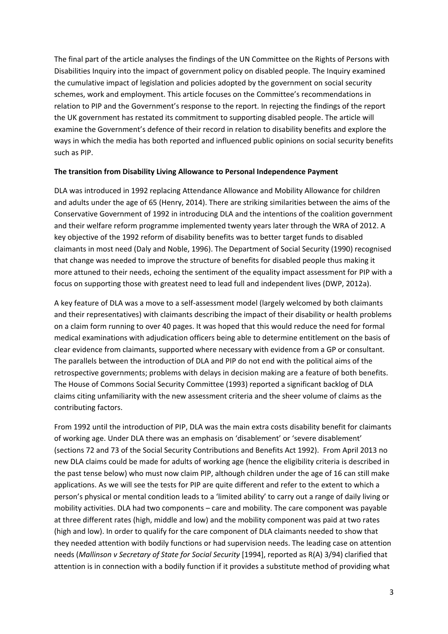The final part of the article analyses the findings of the UN Committee on the Rights of Persons with Disabilities Inquiry into the impact of government policy on disabled people. The Inquiry examined the cumulative impact of legislation and policies adopted by the government on social security schemes, work and employment. This article focuses on the Committee's recommendations in relation to PIP and the Government's response to the report. In rejecting the findings of the report the UK government has restated its commitment to supporting disabled people. The article will examine the Government's defence of their record in relation to disability benefits and explore the ways in which the media has both reported and influenced public opinions on social security benefits such as PIP.

## **The transition from Disability Living Allowance to Personal Independence Payment**

DLA was introduced in 1992 replacing Attendance Allowance and Mobility Allowance for children and adults under the age of 65 (Henry, 2014). There are striking similarities between the aims of the Conservative Government of 1992 in introducing DLA and the intentions of the coalition government and their welfare reform programme implemented twenty years later through the WRA of 2012. A key objective of the 1992 reform of disability benefits was to better target funds to disabled claimants in most need (Daly and Noble, 1996). The Department of Social Security (1990) recognised that change was needed to improve the structure of benefits for disabled people thus making it more attuned to their needs, echoing the sentiment of the equality impact assessment for PIP with a focus on supporting those with greatest need to lead full and independent lives (DWP, 2012a).

A key feature of DLA was a move to a self-assessment model (largely welcomed by both claimants and their representatives) with claimants describing the impact of their disability or health problems on a claim form running to over 40 pages. It was hoped that this would reduce the need for formal medical examinations with adjudication officers being able to determine entitlement on the basis of clear evidence from claimants, supported where necessary with evidence from a GP or consultant. The parallels between the introduction of DLA and PIP do not end with the political aims of the retrospective governments; problems with delays in decision making are a feature of both benefits. The House of Commons Social Security Committee (1993) reported a significant backlog of DLA claims citing unfamiliarity with the new assessment criteria and the sheer volume of claims as the contributing factors.

From 1992 until the introduction of PIP, DLA was the main extra costs disability benefit for claimants of working age. Under DLA there was an emphasis on 'disablement' or 'severe disablement' (sections 72 and 73 of the Social Security Contributions and Benefits Act 1992). From April 2013 no new DLA claims could be made for adults of working age (hence the eligibility criteria is described in the past tense below) who must now claim PIP, although children under the age of 16 can still make applications. As we will see the tests for PIP are quite different and refer to the extent to which a person's physical or mental condition leads to a 'limited ability' to carry out a range of daily living or mobility activities. DLA had two components – care and mobility. The care component was payable at three different rates (high, middle and low) and the mobility component was paid at two rates (high and low). In order to qualify for the care component of DLA claimants needed to show that they needed attention with bodily functions or had supervision needs. The leading case on attention needs (*Mallinson v Secretary of State for Social Security* [1994], reported as R(A) 3/94) clarified that attention is in connection with a bodily function if it provides a substitute method of providing what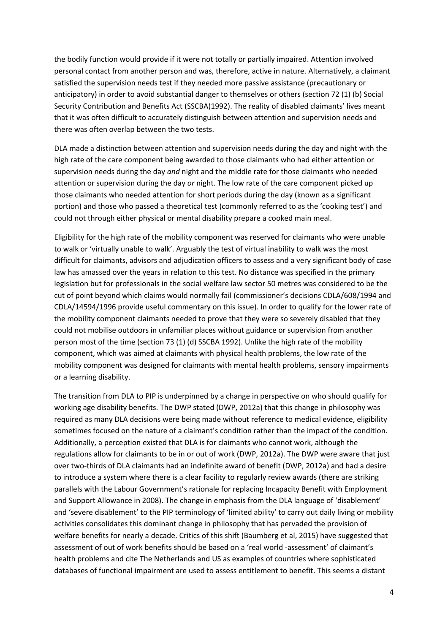the bodily function would provide if it were not totally or partially impaired. Attention involved personal contact from another person and was, therefore, active in nature. Alternatively, a claimant satisfied the supervision needs test if they needed more passive assistance (precautionary or anticipatory) in order to avoid substantial danger to themselves or others (section 72 (1) (b) Social Security Contribution and Benefits Act (SSCBA)1992). The reality of disabled claimants' lives meant that it was often difficult to accurately distinguish between attention and supervision needs and there was often overlap between the two tests.

DLA made a distinction between attention and supervision needs during the day and night with the high rate of the care component being awarded to those claimants who had either attention or supervision needs during the day *and* night and the middle rate for those claimants who needed attention or supervision during the day *or* night. The low rate of the care component picked up those claimants who needed attention for short periods during the day (known as a significant portion) and those who passed a theoretical test (commonly referred to as the 'cooking test') and could not through either physical or mental disability prepare a cooked main meal.

Eligibility for the high rate of the mobility component was reserved for claimants who were unable to walk or 'virtually unable to walk'. Arguably the test of virtual inability to walk was the most difficult for claimants, advisors and adjudication officers to assess and a very significant body of case law has amassed over the years in relation to this test. No distance was specified in the primary legislation but for professionals in the social welfare law sector 50 metres was considered to be the cut of point beyond which claims would normally fail (commissioner's decisions CDLA/608/1994 and CDLA/14594/1996 provide useful commentary on this issue). In order to qualify for the lower rate of the mobility component claimants needed to prove that they were so severely disabled that they could not mobilise outdoors in unfamiliar places without guidance or supervision from another person most of the time (section 73 (1) (d) SSCBA 1992). Unlike the high rate of the mobility component, which was aimed at claimants with physical health problems, the low rate of the mobility component was designed for claimants with mental health problems, sensory impairments or a learning disability.

The transition from DLA to PIP is underpinned by a change in perspective on who should qualify for working age disability benefits. The DWP stated (DWP, 2012a) that this change in philosophy was required as many DLA decisions were being made without reference to medical evidence, eligibility sometimes focused on the nature of a claimant's condition rather than the impact of the condition. Additionally, a perception existed that DLA is for claimants who cannot work, although the regulations allow for claimants to be in or out of work (DWP, 2012a). The DWP were aware that just over two-thirds of DLA claimants had an indefinite award of benefit (DWP, 2012a) and had a desire to introduce a system where there is a clear facility to regularly review awards (there are striking parallels with the Labour Government's rationale for replacing Incapacity Benefit with Employment and Support Allowance in 2008). The change in emphasis from the DLA language of 'disablement' and 'severe disablement' to the PIP terminology of 'limited ability' to carry out daily living or mobility activities consolidates this dominant change in philosophy that has pervaded the provision of welfare benefits for nearly a decade. Critics of this shift (Baumberg et al, 2015) have suggested that assessment of out of work benefits should be based on a 'real world -assessment' of claimant's health problems and cite The Netherlands and US as examples of countries where sophisticated databases of functional impairment are used to assess entitlement to benefit. This seems a distant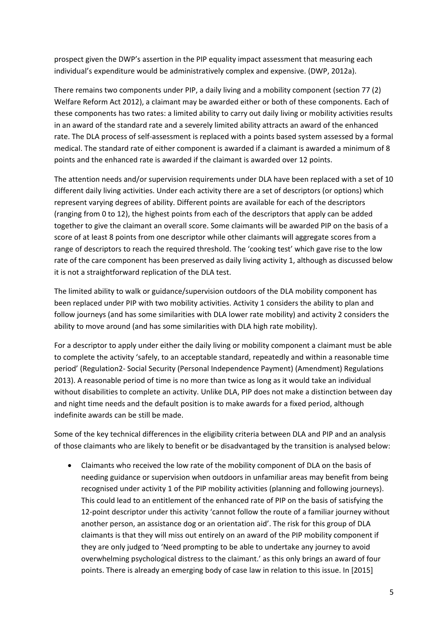prospect given the DWP's assertion in the PIP equality impact assessment that measuring each individual's expenditure would be administratively complex and expensive. (DWP, 2012a).

There remains two components under PIP, a daily living and a mobility component (section 77 (2) Welfare Reform Act 2012), a claimant may be awarded either or both of these components. Each of these components has two rates: a limited ability to carry out daily living or mobility activities results in an award of the standard rate and a severely limited ability attracts an award of the enhanced rate. The DLA process of self-assessment is replaced with a points based system assessed by a formal medical. The standard rate of either component is awarded if a claimant is awarded a minimum of 8 points and the enhanced rate is awarded if the claimant is awarded over 12 points.

The attention needs and/or supervision requirements under DLA have been replaced with a set of 10 different daily living activities. Under each activity there are a set of descriptors (or options) which represent varying degrees of ability. Different points are available for each of the descriptors (ranging from 0 to 12), the highest points from each of the descriptors that apply can be added together to give the claimant an overall score. Some claimants will be awarded PIP on the basis of a score of at least 8 points from one descriptor while other claimants will aggregate scores from a range of descriptors to reach the required threshold. The 'cooking test' which gave rise to the low rate of the care component has been preserved as daily living activity 1, although as discussed below it is not a straightforward replication of the DLA test.

The limited ability to walk or guidance/supervision outdoors of the DLA mobility component has been replaced under PIP with two mobility activities. Activity 1 considers the ability to plan and follow journeys (and has some similarities with DLA lower rate mobility) and activity 2 considers the ability to move around (and has some similarities with DLA high rate mobility).

For a descriptor to apply under either the daily living or mobility component a claimant must be able to complete the activity 'safely, to an acceptable standard, repeatedly and within a reasonable time period' (Regulation2- Social Security (Personal Independence Payment) (Amendment) Regulations 2013). A reasonable period of time is no more than twice as long as it would take an individual without disabilities to complete an activity. Unlike DLA, PIP does not make a distinction between day and night time needs and the default position is to make awards for a fixed period, although indefinite awards can be still be made.

Some of the key technical differences in the eligibility criteria between DLA and PIP and an analysis of those claimants who are likely to benefit or be disadvantaged by the transition is analysed below:

• Claimants who received the low rate of the mobility component of DLA on the basis of needing guidance or supervision when outdoors in unfamiliar areas may benefit from being recognised under activity 1 of the PIP mobility activities (planning and following journeys). This could lead to an entitlement of the enhanced rate of PIP on the basis of satisfying the 12-point descriptor under this activity 'cannot follow the route of a familiar journey without another person, an assistance dog or an orientation aid'. The risk for this group of DLA claimants is that they will miss out entirely on an award of the PIP mobility component if they are only judged to 'Need prompting to be able to undertake any journey to avoid overwhelming psychological distress to the claimant.' as this only brings an award of four points. There is already an emerging body of case law in relation to this issue. In [2015]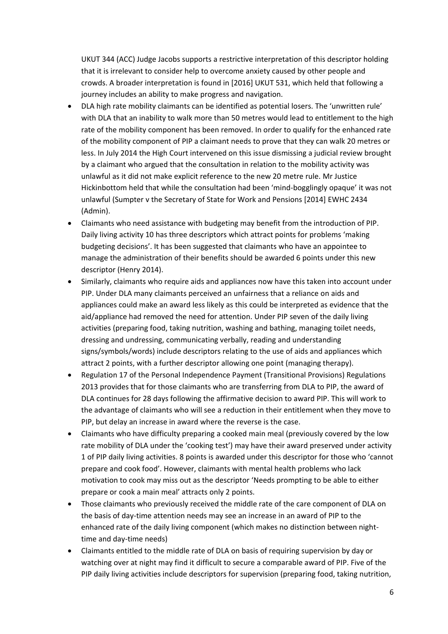UKUT 344 (ACC) Judge Jacobs supports a restrictive interpretation of this descriptor holding that it is irrelevant to consider help to overcome anxiety caused by other people and crowds. A broader interpretation is found in [2016] UKUT 531, which held that following a journey includes an ability to make progress and navigation.

- DLA high rate mobility claimants can be identified as potential losers. The 'unwritten rule' with DLA that an inability to walk more than 50 metres would lead to entitlement to the high rate of the mobility component has been removed. In order to qualify for the enhanced rate of the mobility component of PIP a claimant needs to prove that they can walk 20 metres or less. In July 2014 the High Court intervened on this issue dismissing a judicial review brought by a claimant who argued that the consultation in relation to the mobility activity was unlawful as it did not make explicit reference to the new 20 metre rule. Mr Justice Hickinbottom held that while the consultation had been 'mind-bogglingly opaque' it was not unlawful (Sumpter v the Secretary of State for Work and Pensions [2014] EWHC 2434 (Admin).
- Claimants who need assistance with budgeting may benefit from the introduction of PIP. Daily living activity 10 has three descriptors which attract points for problems 'making budgeting decisions'. It has been suggested that claimants who have an appointee to manage the administration of their benefits should be awarded 6 points under this new descriptor (Henry 2014).
- Similarly, claimants who require aids and appliances now have this taken into account under PIP. Under DLA many claimants perceived an unfairness that a reliance on aids and appliances could make an award less likely as this could be interpreted as evidence that the aid/appliance had removed the need for attention. Under PIP seven of the daily living activities (preparing food, taking nutrition, washing and bathing, managing toilet needs, dressing and undressing, communicating verbally, reading and understanding signs/symbols/words) include descriptors relating to the use of aids and appliances which attract 2 points, with a further descriptor allowing one point (managing therapy).
- Regulation 17 of the Personal Independence Payment (Transitional Provisions) Regulations 2013 provides that for those claimants who are transferring from DLA to PIP, the award of DLA continues for 28 days following the affirmative decision to award PIP. This will work to the advantage of claimants who will see a reduction in their entitlement when they move to PIP, but delay an increase in award where the reverse is the case.
- Claimants who have difficulty preparing a cooked main meal (previously covered by the low rate mobility of DLA under the 'cooking test') may have their award preserved under activity 1 of PIP daily living activities. 8 points is awarded under this descriptor for those who 'cannot prepare and cook food'. However, claimants with mental health problems who lack motivation to cook may miss out as the descriptor 'Needs prompting to be able to either prepare or cook a main meal' attracts only 2 points.
- Those claimants who previously received the middle rate of the care component of DLA on the basis of day-time attention needs may see an increase in an award of PIP to the enhanced rate of the daily living component (which makes no distinction between nighttime and day-time needs)
- Claimants entitled to the middle rate of DLA on basis of requiring supervision by day or watching over at night may find it difficult to secure a comparable award of PIP. Five of the PIP daily living activities include descriptors for supervision (preparing food, taking nutrition,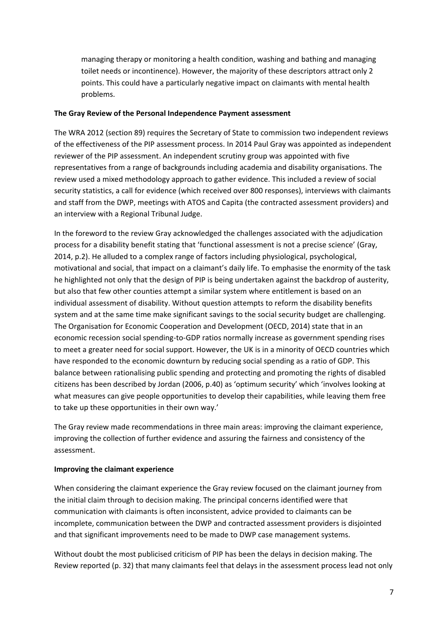managing therapy or monitoring a health condition, washing and bathing and managing toilet needs or incontinence). However, the majority of these descriptors attract only 2 points. This could have a particularly negative impact on claimants with mental health problems.

#### **The Gray Review of the Personal Independence Payment assessment**

The WRA 2012 (section 89) requires the Secretary of State to commission two independent reviews of the effectiveness of the PIP assessment process. In 2014 Paul Gray was appointed as independent reviewer of the PIP assessment. An independent scrutiny group was appointed with five representatives from a range of backgrounds including academia and disability organisations. The review used a mixed methodology approach to gather evidence. This included a review of social security statistics, a call for evidence (which received over 800 responses), interviews with claimants and staff from the DWP, meetings with ATOS and Capita (the contracted assessment providers) and an interview with a Regional Tribunal Judge.

In the foreword to the review Gray acknowledged the challenges associated with the adjudication process for a disability benefit stating that 'functional assessment is not a precise science' (Gray, 2014, p.2). He alluded to a complex range of factors including physiological, psychological, motivational and social, that impact on a claimant's daily life. To emphasise the enormity of the task he highlighted not only that the design of PIP is being undertaken against the backdrop of austerity, but also that few other counties attempt a similar system where entitlement is based on an individual assessment of disability. Without question attempts to reform the disability benefits system and at the same time make significant savings to the social security budget are challenging. The Organisation for Economic Cooperation and Development (OECD, 2014) state that in an economic recession social spending-to-GDP ratios normally increase as government spending rises to meet a greater need for social support. However, the UK is in a minority of OECD countries which have responded to the economic downturn by reducing social spending as a ratio of GDP. This balance between rationalising public spending and protecting and promoting the rights of disabled citizens has been described by Jordan (2006, p.40) as 'optimum security' which 'involves looking at what measures can give people opportunities to develop their capabilities, while leaving them free to take up these opportunities in their own way.'

The Gray review made recommendations in three main areas: improving the claimant experience, improving the collection of further evidence and assuring the fairness and consistency of the assessment.

## **Improving the claimant experience**

When considering the claimant experience the Gray review focused on the claimant journey from the initial claim through to decision making. The principal concerns identified were that communication with claimants is often inconsistent, advice provided to claimants can be incomplete, communication between the DWP and contracted assessment providers is disjointed and that significant improvements need to be made to DWP case management systems.

Without doubt the most publicised criticism of PIP has been the delays in decision making. The Review reported (p. 32) that many claimants feel that delays in the assessment process lead not only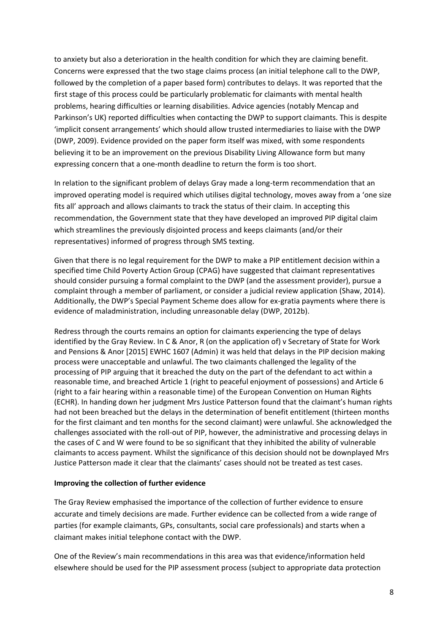to anxiety but also a deterioration in the health condition for which they are claiming benefit. Concerns were expressed that the two stage claims process (an initial telephone call to the DWP, followed by the completion of a paper based form) contributes to delays. It was reported that the first stage of this process could be particularly problematic for claimants with mental health problems, hearing difficulties or learning disabilities. Advice agencies (notably Mencap and Parkinson's UK) reported difficulties when contacting the DWP to support claimants. This is despite 'implicit consent arrangements' which should allow trusted intermediaries to liaise with the DWP (DWP, 2009). Evidence provided on the paper form itself was mixed, with some respondents believing it to be an improvement on the previous Disability Living Allowance form but many expressing concern that a one-month deadline to return the form is too short.

In relation to the significant problem of delays Gray made a long-term recommendation that an improved operating model is required which utilises digital technology, moves away from a 'one size fits all' approach and allows claimants to track the status of their claim. In accepting this recommendation, the Government state that they have developed an improved PIP digital claim which streamlines the previously disjointed process and keeps claimants (and/or their representatives) informed of progress through SMS texting.

Given that there is no legal requirement for the DWP to make a PIP entitlement decision within a specified time Child Poverty Action Group (CPAG) have suggested that claimant representatives should consider pursuing a formal complaint to the DWP (and the assessment provider), pursue a complaint through a member of parliament, or consider a judicial review application (Shaw, 2014). Additionally, the DWP's Special Payment Scheme does allow for ex-gratia payments where there is evidence of maladministration, including unreasonable delay (DWP, 2012b).

Redress through the courts remains an option for claimants experiencing the type of delays identified by the Gray Review. In C & Anor, R (on the application of) v Secretary of State for Work and Pensions & Anor [2015] EWHC 1607 (Admin) it was held that delays in the PIP decision making process were unacceptable and unlawful. The two claimants challenged the legality of the processing of PIP arguing that it breached the duty on the part of the defendant to act within a reasonable time, and breached Article 1 (right to peaceful enjoyment of possessions) and Article 6 (right to a fair hearing within a reasonable time) of the European Convention on Human Rights (ECHR). In handing down her judgment Mrs Justice Patterson found that the claimant's human rights had not been breached but the delays in the determination of benefit entitlement (thirteen months for the first claimant and ten months for the second claimant) were unlawful. She acknowledged the challenges associated with the roll-out of PIP, however, the administrative and processing delays in the cases of C and W were found to be so significant that they inhibited the ability of vulnerable claimants to access payment. Whilst the significance of this decision should not be downplayed Mrs Justice Patterson made it clear that the claimants' cases should not be treated as test cases.

## **Improving the collection of further evidence**

The Gray Review emphasised the importance of the collection of further evidence to ensure accurate and timely decisions are made. Further evidence can be collected from a wide range of parties (for example claimants, GPs, consultants, social care professionals) and starts when a claimant makes initial telephone contact with the DWP.

One of the Review's main recommendations in this area was that evidence/information held elsewhere should be used for the PIP assessment process (subject to appropriate data protection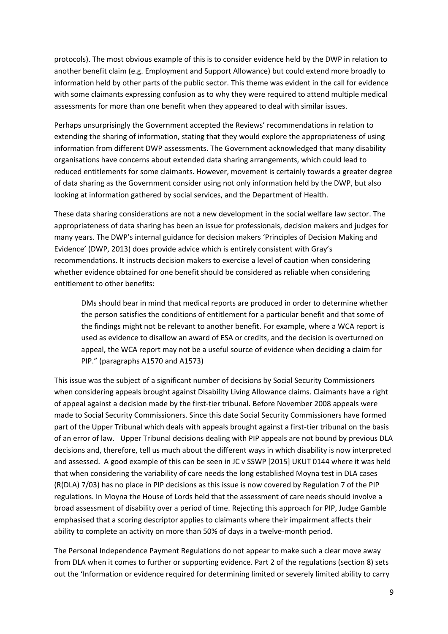protocols). The most obvious example of this is to consider evidence held by the DWP in relation to another benefit claim (e.g. Employment and Support Allowance) but could extend more broadly to information held by other parts of the public sector. This theme was evident in the call for evidence with some claimants expressing confusion as to why they were required to attend multiple medical assessments for more than one benefit when they appeared to deal with similar issues.

Perhaps unsurprisingly the Government accepted the Reviews' recommendations in relation to extending the sharing of information, stating that they would explore the appropriateness of using information from different DWP assessments. The Government acknowledged that many disability organisations have concerns about extended data sharing arrangements, which could lead to reduced entitlements for some claimants. However, movement is certainly towards a greater degree of data sharing as the Government consider using not only information held by the DWP, but also looking at information gathered by social services, and the Department of Health.

These data sharing considerations are not a new development in the social welfare law sector. The appropriateness of data sharing has been an issue for professionals, decision makers and judges for many years. The DWP's internal guidance for decision makers 'Principles of Decision Making and Evidence' (DWP, 2013) does provide advice which is entirely consistent with Gray's recommendations. It instructs decision makers to exercise a level of caution when considering whether evidence obtained for one benefit should be considered as reliable when considering entitlement to other benefits:

DMs should bear in mind that medical reports are produced in order to determine whether the person satisfies the conditions of entitlement for a particular benefit and that some of the findings might not be relevant to another benefit. For example, where a WCA report is used as evidence to disallow an award of ESA or credits, and the decision is overturned on appeal, the WCA report may not be a useful source of evidence when deciding a claim for PIP." (paragraphs A1570 and A1573)

This issue was the subject of a significant number of decisions by Social Security Commissioners when considering appeals brought against Disability Living Allowance claims. Claimants have a right of appeal against a decision made by the first-tier tribunal. Before November 2008 appeals were made to Social Security Commissioners. Since this date Social Security Commissioners have formed part of the Upper Tribunal which deals with appeals brought against a first-tier tribunal on the basis of an error of law. Upper Tribunal decisions dealing with PIP appeals are not bound by previous DLA decisions and, therefore, tell us much about the different ways in which disability is now interpreted and assessed. A good example of this can be seen in JC v SSWP [2015] UKUT 0144 where it was held that when considering the variability of care needs the long established Moyna test in DLA cases (R(DLA) 7/03) has no place in PIP decisions as this issue is now covered by Regulation 7 of the PIP regulations. In Moyna the House of Lords held that the assessment of care needs should involve a broad assessment of disability over a period of time. Rejecting this approach for PIP, Judge Gamble emphasised that a scoring descriptor applies to claimants where their impairment affects their ability to complete an activity on more than 50% of days in a twelve-month period.

The Personal Independence Payment Regulations do not appear to make such a clear move away from DLA when it comes to further or supporting evidence. Part 2 of the regulations (section 8) sets out the 'Information or evidence required for determining limited or severely limited ability to carry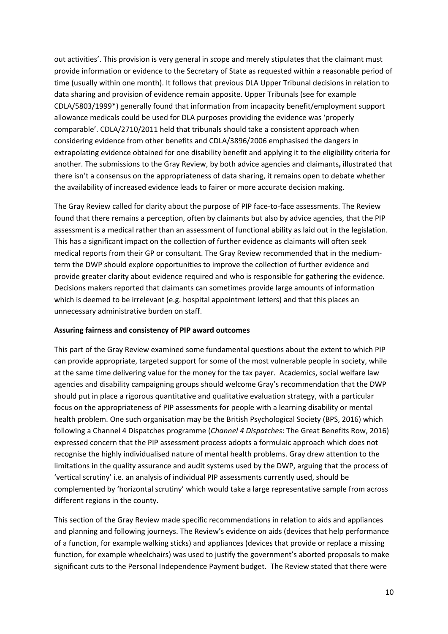out activities'. This provision is very general in scope and merely stipulate**s** that the claimant must provide information or evidence to the Secretary of State as requested within a reasonable period of time (usually within one month). It follows that previous DLA Upper Tribunal decisions in relation to data sharing and provision of evidence remain apposite. Upper Tribunals (see for example CDLA/5803/1999\*) generally found that information from incapacity benefit/employment support allowance medicals could be used for DLA purposes providing the evidence was 'properly comparable'. CDLA/2710/2011 held that tribunals should take a consistent approach when considering evidence from other benefits and CDLA/3896/2006 emphasised the dangers in extrapolating evidence obtained for one disability benefit and applying it to the eligibility criteria for another. The submissions to the Gray Review, by both advice agencies and claimants**,** illustrated that there isn't a consensus on the appropriateness of data sharing, it remains open to debate whether the availability of increased evidence leads to fairer or more accurate decision making.

The Gray Review called for clarity about the purpose of PIP face-to-face assessments. The Review found that there remains a perception, often by claimants but also by advice agencies, that the PIP assessment is a medical rather than an assessment of functional ability as laid out in the legislation. This has a significant impact on the collection of further evidence as claimants will often seek medical reports from their GP or consultant. The Gray Review recommended that in the mediumterm the DWP should explore opportunities to improve the collection of further evidence and provide greater clarity about evidence required and who is responsible for gathering the evidence. Decisions makers reported that claimants can sometimes provide large amounts of information which is deemed to be irrelevant (e.g. hospital appointment letters) and that this places an unnecessary administrative burden on staff.

## **Assuring fairness and consistency of PIP award outcomes**

This part of the Gray Review examined some fundamental questions about the extent to which PIP can provide appropriate, targeted support for some of the most vulnerable people in society, while at the same time delivering value for the money for the tax payer. Academics, social welfare law agencies and disability campaigning groups should welcome Gray's recommendation that the DWP should put in place a rigorous quantitative and qualitative evaluation strategy, with a particular focus on the appropriateness of PIP assessments for people with a learning disability or mental health problem. One such organisation may be the British Psychological Society (BPS, 2016) which following a Channel 4 Dispatches programme (*Channel 4 Dispatches*: The Great Benefits Row, 2016) expressed concern that the PIP assessment process adopts a formulaic approach which does not recognise the highly individualised nature of mental health problems. Gray drew attention to the limitations in the quality assurance and audit systems used by the DWP, arguing that the process of 'vertical scrutiny' i.e. an analysis of individual PIP assessments currently used, should be complemented by 'horizontal scrutiny' which would take a large representative sample from across different regions in the county.

This section of the Gray Review made specific recommendations in relation to aids and appliances and planning and following journeys. The Review's evidence on aids (devices that help performance of a function, for example walking sticks) and appliances (devices that provide or replace a missing function, for example wheelchairs) was used to justify the government's aborted proposals to make significant cuts to the Personal Independence Payment budget. The Review stated that there were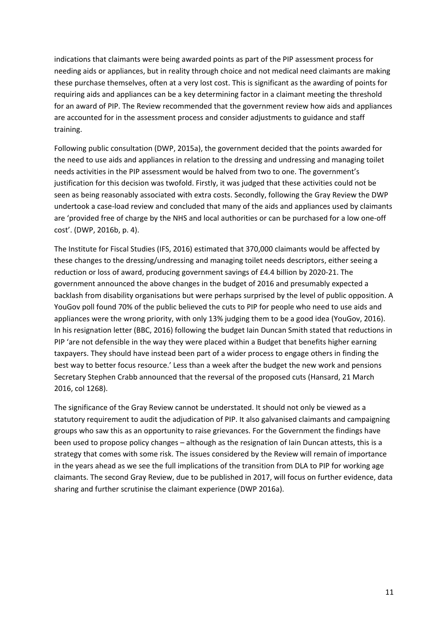indications that claimants were being awarded points as part of the PIP assessment process for needing aids or appliances, but in reality through choice and not medical need claimants are making these purchase themselves, often at a very lost cost. This is significant as the awarding of points for requiring aids and appliances can be a key determining factor in a claimant meeting the threshold for an award of PIP. The Review recommended that the government review how aids and appliances are accounted for in the assessment process and consider adjustments to guidance and staff training.

Following public consultation (DWP, 2015a), the government decided that the points awarded for the need to use aids and appliances in relation to the dressing and undressing and managing toilet needs activities in the PIP assessment would be halved from two to one. The government's justification for this decision was twofold. Firstly, it was judged that these activities could not be seen as being reasonably associated with extra costs. Secondly, following the Gray Review the DWP undertook a case-load review and concluded that many of the aids and appliances used by claimants are 'provided free of charge by the NHS and local authorities or can be purchased for a low one-off cost'. (DWP, 2016b, p. 4).

The Institute for Fiscal Studies (IFS, 2016) estimated that 370,000 claimants would be affected by these changes to the dressing/undressing and managing toilet needs descriptors, either seeing a reduction or loss of award, producing government savings of £4.4 billion by 2020-21. The government announced the above changes in the budget of 2016 and presumably expected a backlash from disability organisations but were perhaps surprised by the level of public opposition. A YouGov poll found 70% of the public believed the cuts to PIP for people who need to use aids and appliances were the wrong priority, with only 13% judging them to be a good idea (YouGov, 2016). In his resignation letter (BBC, 2016) following the budget Iain Duncan Smith stated that reductions in PIP 'are not defensible in the way they were placed within a Budget that benefits higher earning taxpayers. They should have instead been part of a wider process to engage others in finding the best way to better focus resource.' Less than a week after the budget the new work and pensions Secretary Stephen Crabb announced that the reversal of the proposed cuts (Hansard, 21 March 2016, col 1268).

The significance of the Gray Review cannot be understated. It should not only be viewed as a statutory requirement to audit the adjudication of PIP. It also galvanised claimants and campaigning groups who saw this as an opportunity to raise grievances. For the Government the findings have been used to propose policy changes – although as the resignation of Iain Duncan attests, this is a strategy that comes with some risk. The issues considered by the Review will remain of importance in the years ahead as we see the full implications of the transition from DLA to PIP for working age claimants. The second Gray Review, due to be published in 2017, will focus on further evidence, data sharing and further scrutinise the claimant experience (DWP 2016a).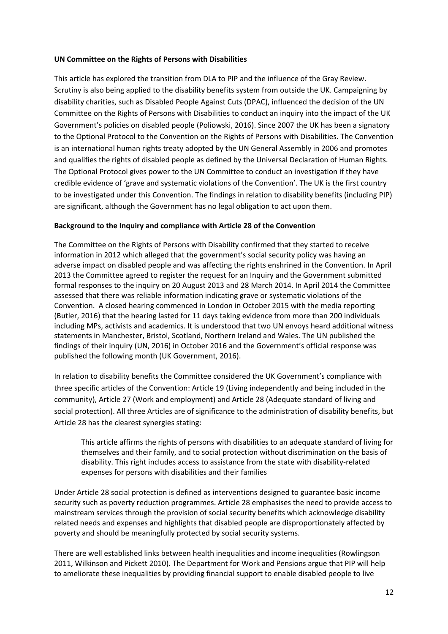## **UN Committee on the Rights of Persons with Disabilities**

This article has explored the transition from DLA to PIP and the influence of the Gray Review. Scrutiny is also being applied to the disability benefits system from outside the UK. Campaigning by disability charities, such as Disabled People Against Cuts (DPAC), influenced the decision of the UN Committee on the Rights of Persons with Disabilities to conduct an inquiry into the impact of the UK Government's policies on disabled people (Poliowski, 2016). Since 2007 the UK has been a signatory to the Optional Protocol to the Convention on the Rights of Persons with Disabilities. The Convention is an international human rights treaty adopted by the UN General Assembly in 2006 and promotes and qualifies the rights of disabled people as defined by the Universal Declaration of Human Rights. The Optional Protocol gives power to the UN Committee to conduct an investigation if they have credible evidence of 'grave and systematic violations of the Convention'. The UK is the first country to be investigated under this Convention. The findings in relation to disability benefits (including PIP) are significant, although the Government has no legal obligation to act upon them.

## **Background to the Inquiry and compliance with Article 28 of the Convention**

The Committee on the Rights of Persons with Disability confirmed that they started to receive information in 2012 which alleged that the government's social security policy was having an adverse impact on disabled people and was affecting the rights enshrined in the Convention. In April 2013 the Committee agreed to register the request for an Inquiry and the Government submitted formal responses to the inquiry on 20 August 2013 and 28 March 2014. In April 2014 the Committee assessed that there was reliable information indicating grave or systematic violations of the Convention. A closed hearing commenced in London in October 2015 with the media reporting (Butler, 2016) that the hearing lasted for 11 days taking evidence from more than 200 individuals including MPs, activists and academics. It is understood that two UN envoys heard additional witness statements in Manchester, Bristol, Scotland, Northern Ireland and Wales. The UN published the findings of their inquiry (UN, 2016) in October 2016 and the Government's official response was published the following month (UK Government, 2016).

In relation to disability benefits the Committee considered the UK Government's compliance with three specific articles of the Convention: Article 19 (Living independently and being included in the community), Article 27 (Work and employment) and Article 28 (Adequate standard of living and social protection). All three Articles are of significance to the administration of disability benefits, but Article 28 has the clearest synergies stating:

This article affirms the rights of persons with disabilities to an adequate standard of living for themselves and their family, and to social protection without discrimination on the basis of disability. This right includes access to assistance from the state with disability-related expenses for persons with disabilities and their families

Under Article 28 social protection is defined as interventions designed to guarantee basic income security such as poverty reduction programmes. Article 28 emphasises the need to provide access to mainstream services through the provision of social security benefits which acknowledge disability related needs and expenses and highlights that disabled people are disproportionately affected by poverty and should be meaningfully protected by social security systems.

There are well established links between health inequalities and income inequalities (Rowlingson 2011, Wilkinson and Pickett 2010). The Department for Work and Pensions argue that PIP will help to ameliorate these inequalities by providing financial support to enable disabled people to live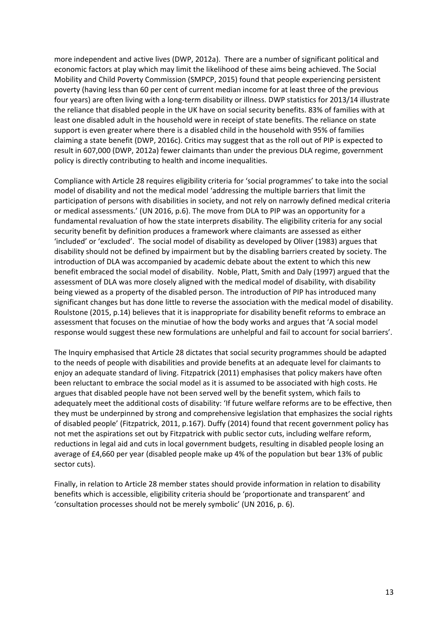more independent and active lives (DWP, 2012a). There are a number of significant political and economic factors at play which may limit the likelihood of these aims being achieved. The Social Mobility and Child Poverty Commission (SMPCP, 2015) found that people experiencing persistent poverty (having less than 60 per cent of current median income for at least three of the previous four years) are often living with a long-term disability or illness. DWP statistics for 2013/14 illustrate the reliance that disabled people in the UK have on social security benefits. 83% of families with at least one disabled adult in the household were in receipt of state benefits. The reliance on state support is even greater where there is a disabled child in the household with 95% of families claiming a state benefit (DWP, 2016c). Critics may suggest that as the roll out of PIP is expected to result in 607,000 (DWP, 2012a) fewer claimants than under the previous DLA regime, government policy is directly contributing to health and income inequalities.

Compliance with Article 28 requires eligibility criteria for 'social programmes' to take into the social model of disability and not the medical model 'addressing the multiple barriers that limit the participation of persons with disabilities in society, and not rely on narrowly defined medical criteria or medical assessments.' (UN 2016, p.6). The move from DLA to PIP was an opportunity for a fundamental revaluation of how the state interprets disability. The eligibility criteria for any social security benefit by definition produces a framework where claimants are assessed as either 'included' or 'excluded'. The social model of disability as developed by Oliver (1983) argues that disability should not be defined by impairment but by the disabling barriers created by society. The introduction of DLA was accompanied by academic debate about the extent to which this new benefit embraced the social model of disability. Noble, Platt, Smith and Daly (1997) argued that the assessment of DLA was more closely aligned with the medical model of disability, with disability being viewed as a property of the disabled person. The introduction of PIP has introduced many significant changes but has done little to reverse the association with the medical model of disability. Roulstone (2015, p.14) believes that it is inappropriate for disability benefit reforms to embrace an assessment that focuses on the minutiae of how the body works and argues that 'A social model response would suggest these new formulations are unhelpful and fail to account for social barriers'.

The Inquiry emphasised that Article 28 dictates that social security programmes should be adapted to the needs of people with disabilities and provide benefits at an adequate level for claimants to enjoy an adequate standard of living. Fitzpatrick (2011) emphasises that policy makers have often been reluctant to embrace the social model as it is assumed to be associated with high costs. He argues that disabled people have not been served well by the benefit system, which fails to adequately meet the additional costs of disability: 'If future welfare reforms are to be effective, then they must be underpinned by strong and comprehensive legislation that emphasizes the social rights of disabled people' (Fitzpatrick, 2011, p.167). Duffy (2014) found that recent government policy has not met the aspirations set out by Fitzpatrick with public sector cuts, including welfare reform, reductions in legal aid and cuts in local government budgets, resulting in disabled people losing an average of £4,660 per year (disabled people make up 4% of the population but bear 13% of public sector cuts).

Finally, in relation to Article 28 member states should provide information in relation to disability benefits which is accessible, eligibility criteria should be 'proportionate and transparent' and 'consultation processes should not be merely symbolic' (UN 2016, p. 6).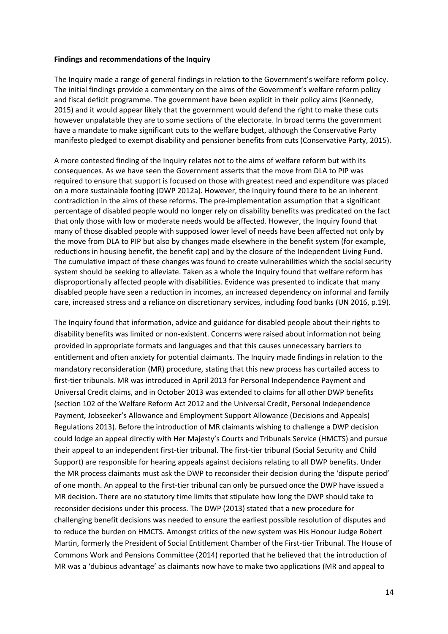#### **Findings and recommendations of the Inquiry**

The Inquiry made a range of general findings in relation to the Government's welfare reform policy. The initial findings provide a commentary on the aims of the Government's welfare reform policy and fiscal deficit programme. The government have been explicit in their policy aims (Kennedy, 2015) and it would appear likely that the government would defend the right to make these cuts however unpalatable they are to some sections of the electorate. In broad terms the government have a mandate to make significant cuts to the welfare budget, although the Conservative Party manifesto pledged to exempt disability and pensioner benefits from cuts (Conservative Party, 2015).

A more contested finding of the Inquiry relates not to the aims of welfare reform but with its consequences. As we have seen the Government asserts that the move from DLA to PIP was required to ensure that support is focused on those with greatest need and expenditure was placed on a more sustainable footing (DWP 2012a). However, the Inquiry found there to be an inherent contradiction in the aims of these reforms. The pre-implementation assumption that a significant percentage of disabled people would no longer rely on disability benefits was predicated on the fact that only those with low or moderate needs would be affected. However, the Inquiry found that many of those disabled people with supposed lower level of needs have been affected not only by the move from DLA to PIP but also by changes made elsewhere in the benefit system (for example, reductions in housing benefit, the benefit cap) and by the closure of the Independent Living Fund. The cumulative impact of these changes was found to create vulnerabilities which the social security system should be seeking to alleviate. Taken as a whole the Inquiry found that welfare reform has disproportionally affected people with disabilities. Evidence was presented to indicate that many disabled people have seen a reduction in incomes, an increased dependency on informal and family care, increased stress and a reliance on discretionary services, including food banks (UN 2016, p.19).

The Inquiry found that information, advice and guidance for disabled people about their rights to disability benefits was limited or non-existent. Concerns were raised about information not being provided in appropriate formats and languages and that this causes unnecessary barriers to entitlement and often anxiety for potential claimants. The Inquiry made findings in relation to the mandatory reconsideration (MR) procedure, stating that this new process has curtailed access to first-tier tribunals. MR was introduced in April 2013 for Personal Independence Payment and Universal Credit claims, and in October 2013 was extended to claims for all other DWP benefits (section 102 of the Welfare Reform Act 2012 and the Universal Credit, Personal Independence Payment, Jobseeker's Allowance and Employment Support Allowance (Decisions and Appeals) Regulations 2013). Before the introduction of MR claimants wishing to challenge a DWP decision could lodge an appeal directly with Her Majesty's Courts and Tribunals Service (HMCTS) and pursue their appeal to an independent first-tier tribunal. The first-tier tribunal (Social Security and Child Support) are responsible for hearing appeals against decisions relating to all DWP benefits. Under the MR process claimants must ask the DWP to reconsider their decision during the 'dispute period' of one month. An appeal to the first-tier tribunal can only be pursued once the DWP have issued a MR decision. There are no statutory time limits that stipulate how long the DWP should take to reconsider decisions under this process. The DWP (2013) stated that a new procedure for challenging benefit decisions was needed to ensure the earliest possible resolution of disputes and to reduce the burden on HMCTS. Amongst critics of the new system was His Honour Judge Robert Martin, formerly the President of Social Entitlement Chamber of the First-tier Tribunal. The House of Commons Work and Pensions Committee (2014) reported that he believed that the introduction of MR was a 'dubious advantage' as claimants now have to make two applications (MR and appeal to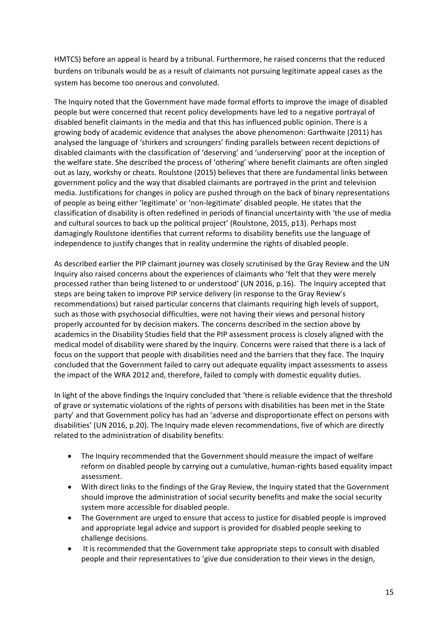HMTCS) before an appeal is heard by a tribunal. Furthermore, he raised concerns that the reduced burdens on tribunals would be as a result of claimants not pursuing legitimate appeal cases as the system has become too onerous and convoluted.

The Inquiry noted that the Government have made formal efforts to improve the image of disabled people but were concerned that recent policy developments have led to a negative portrayal of disabled benefit claimants in the media and that this has influenced public opinion. There is a growing body of academic evidence that analyses the above phenomenon: Garthwaite (2011) has analysed the language of 'shirkers and scroungers' finding parallels between recent depictions of disabled claimants with the classification of 'deserving' and 'underserving' poor at the inception of the welfare state. She described the process of 'othering' where benefit claimants are often singled out as lazy, workshy or cheats. Roulstone (2015) believes that there are fundamental links between government policy and the way that disabled claimants are portrayed in the print and television media. Justifications for changes in policy are pushed through on the back of binary representations of people as being either 'legitimate' or 'non-legitimate' disabled people. He states that the classification of disability is often redefined in periods of financial uncertainty with 'the use of media and cultural sources to back up the political project' (Roulstone, 2015, p13). Perhaps most damagingly Roulstone identifies that current reforms to disability benefits use the language of independence to justify changes that in reality undermine the rights of disabled people.

As described earlier the PIP claimant journey was closely scrutinised by the Gray Review and the UN Inquiry also raised concerns about the experiences of claimants who 'felt that they were merely processed rather than being listened to or understood' (UN 2016, p.16). The Inquiry accepted that steps are being taken to improve PIP service delivery (in response to the Gray Review's recommendations) but raised particular concerns that claimants requiring high levels of support, such as those with psychosocial difficulties, were not having their views and personal history properly accounted for by decision makers. The concerns described in the section above by academics in the Disability Studies field that the PIP assessment process is closely aligned with the medical model of disability were shared by the Inquiry. Concerns were raised that there is a lack of focus on the support that people with disabilities need and the barriers that they face. The Inquiry concluded that the Government failed to carry out adequate equality impact assessments to assess the impact of the WRA 2012 and, therefore, failed to comply with domestic equality duties.

In light of the above findings the Inquiry concluded that 'there is reliable evidence that the threshold of grave or systematic violations of the rights of persons with disabilities has been met in the State party' and that Government policy has had an 'adverse and disproportionate effect on persons with disabilities' (UN 2016, p.20). The Inquiry made eleven recommendations, five of which are directly related to the administration of disability benefits:

- The Inquiry recommended that the Government should measure the impact of welfare reform on disabled people by carrying out a cumulative, human-rights based equality impact assessment.
- With direct links to the findings of the Gray Review, the Inquiry stated that the Government should improve the administration of social security benefits and make the social security system more accessible for disabled people.
- The Government are urged to ensure that access to justice for disabled people is improved and appropriate legal advice and support is provided for disabled people seeking to challenge decisions.
- It is recommended that the Government take appropriate steps to consult with disabled people and their representatives to 'give due consideration to their views in the design,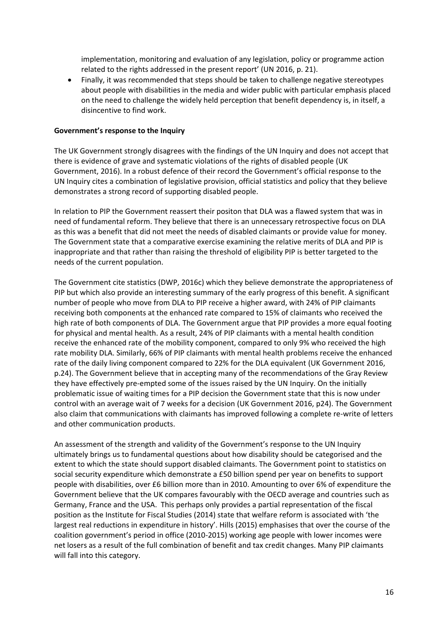implementation, monitoring and evaluation of any legislation, policy or programme action related to the rights addressed in the present report' (UN 2016, p. 21).

• Finally, it was recommended that steps should be taken to challenge negative stereotypes about people with disabilities in the media and wider public with particular emphasis placed on the need to challenge the widely held perception that benefit dependency is, in itself, a disincentive to find work.

#### **Government's response to the Inquiry**

The UK Government strongly disagrees with the findings of the UN Inquiry and does not accept that there is evidence of grave and systematic violations of the rights of disabled people (UK Government, 2016). In a robust defence of their record the Government's official response to the UN Inquiry cites a combination of legislative provision, official statistics and policy that they believe demonstrates a strong record of supporting disabled people.

In relation to PIP the Government reassert their positon that DLA was a flawed system that was in need of fundamental reform. They believe that there is an unnecessary retrospective focus on DLA as this was a benefit that did not meet the needs of disabled claimants or provide value for money. The Government state that a comparative exercise examining the relative merits of DLA and PIP is inappropriate and that rather than raising the threshold of eligibility PIP is better targeted to the needs of the current population.

The Government cite statistics (DWP, 2016c) which they believe demonstrate the appropriateness of PIP but which also provide an interesting summary of the early progress of this benefit. A significant number of people who move from DLA to PIP receive a higher award, with 24% of PIP claimants receiving both components at the enhanced rate compared to 15% of claimants who received the high rate of both components of DLA. The Government argue that PIP provides a more equal footing for physical and mental health. As a result, 24% of PIP claimants with a mental health condition receive the enhanced rate of the mobility component, compared to only 9% who received the high rate mobility DLA. Similarly, 66% of PIP claimants with mental health problems receive the enhanced rate of the daily living component compared to 22% for the DLA equivalent (UK Government 2016, p.24). The Government believe that in accepting many of the recommendations of the Gray Review they have effectively pre-empted some of the issues raised by the UN Inquiry. On the initially problematic issue of waiting times for a PIP decision the Government state that this is now under control with an average wait of 7 weeks for a decision (UK Government 2016, p24). The Government also claim that communications with claimants has improved following a complete re-write of letters and other communication products.

An assessment of the strength and validity of the Government's response to the UN Inquiry ultimately brings us to fundamental questions about how disability should be categorised and the extent to which the state should support disabled claimants. The Government point to statistics on social security expenditure which demonstrate a £50 billion spend per year on benefits to support people with disabilities, over £6 billion more than in 2010. Amounting to over 6% of expenditure the Government believe that the UK compares favourably with the OECD average and countries such as Germany, France and the USA. This perhaps only provides a partial representation of the fiscal position as the Institute for Fiscal Studies (2014) state that welfare reform is associated with 'the largest real reductions in expenditure in history'. Hills (2015) emphasises that over the course of the coalition government's period in office (2010-2015) working age people with lower incomes were net losers as a result of the full combination of benefit and tax credit changes. Many PIP claimants will fall into this category.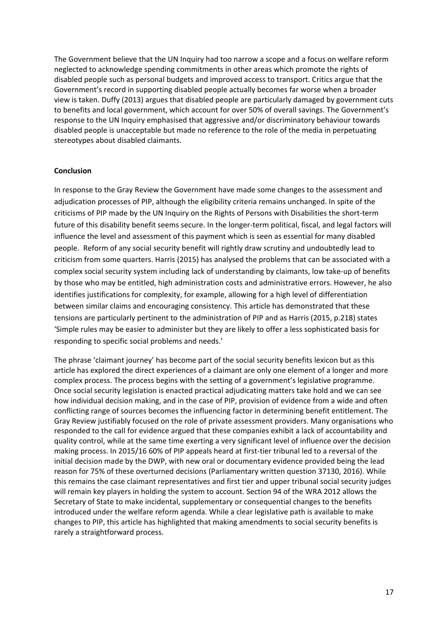The Government believe that the UN Inquiry had too narrow a scope and a focus on welfare reform neglected to acknowledge spending commitments in other areas which promote the rights of disabled people such as personal budgets and improved access to transport. Critics argue that the Government's record in supporting disabled people actually becomes far worse when a broader view is taken. Duffy (2013) argues that disabled people are particularly damaged by government cuts to benefits and local government, which account for over 50% of overall savings. The Government's response to the UN Inquiry emphasised that aggressive and/or discriminatory behaviour towards disabled people is unacceptable but made no reference to the role of the media in perpetuating stereotypes about disabled claimants.

#### **Conclusion**

In response to the Gray Review the Government have made some changes to the assessment and adjudication processes of PIP, although the eligibility criteria remains unchanged. In spite of the criticisms of PIP made by the UN Inquiry on the Rights of Persons with Disabilities the short-term future of this disability benefit seems secure. In the longer-term political, fiscal, and legal factors will influence the level and assessment of this payment which is seen as essential for many disabled people. Reform of any social security benefit will rightly draw scrutiny and undoubtedly lead to criticism from some quarters. Harris (2015) has analysed the problems that can be associated with a complex social security system including lack of understanding by claimants, low take-up of benefits by those who may be entitled, high administration costs and administrative errors. However, he also identifies justifications for complexity, for example, allowing for a high level of differentiation between similar claims and encouraging consistency. This article has demonstrated that these tensions are particularly pertinent to the administration of PIP and as Harris (2015, p.218) states 'Simple rules may be easier to administer but they are likely to offer a less sophisticated basis for responding to specific social problems and needs.'

The phrase 'claimant journey' has become part of the social security benefits lexicon but as this article has explored the direct experiences of a claimant are only one element of a longer and more complex process. The process begins with the setting of a government's legislative programme. Once social security legislation is enacted practical adjudicating matters take hold and we can see how individual decision making, and in the case of PIP, provision of evidence from a wide and often conflicting range of sources becomes the influencing factor in determining benefit entitlement. The Gray Review justifiably focused on the role of private assessment providers. Many organisations who responded to the call for evidence argued that these companies exhibit a lack of accountability and quality control, while at the same time exerting a very significant level of influence over the decision making process. In 2015/16 60% of PIP appeals heard at first-tier tribunal led to a reversal of the initial decision made by the DWP, with new oral or documentary evidence provided being the lead reason for 75% of these overturned decisions (Parliamentary written question 37130, 2016). While this remains the case claimant representatives and first tier and upper tribunal social security judges will remain key players in holding the system to account. Section 94 of the WRA 2012 allows the Secretary of State to make incidental, supplementary or consequential changes to the benefits introduced under the welfare reform agenda. While a clear legislative path is available to make changes to PIP, this article has highlighted that making amendments to social security benefits is rarely a straightforward process.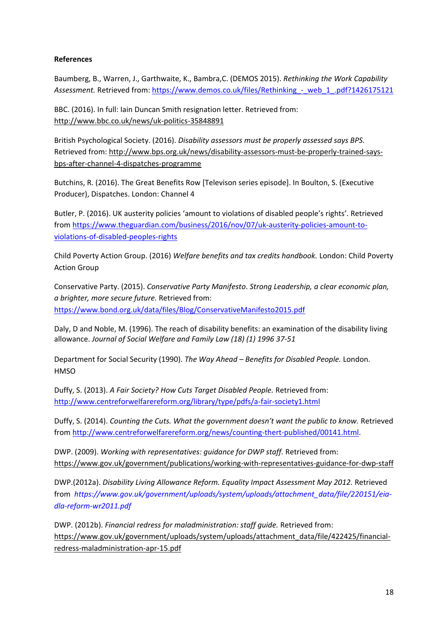## **References**

Baumberg, B., Warren, J., Garthwaite, K., Bambra,C. (DEMOS 2015). *Rethinking the Work Capability*  Assessment. Retrieved from: https://www.demos.co.uk/files/Rethinking - web 1 .pdf?1426175121

BBC. (2016). In full: Iain Duncan Smith resignation letter. Retrieved from: <http://www.bbc.co.uk/news/uk-politics-35848891>

British Psychological Society. (2016). *Disability assessors must be properly assessed says BPS.* Retrieved from: [http://www.bps.org.uk/news/disability-assessors-must-be-properly-trained-says](http://www.bps.org.uk/news/disability-assessors-must-be-properly-trained-says-bps-after-channel-4-dispatches-programme)[bps-after-channel-4-dispatches-programme](http://www.bps.org.uk/news/disability-assessors-must-be-properly-trained-says-bps-after-channel-4-dispatches-programme)

Butchins, R. (2016). The Great Benefits Row [Televison series episode]. In Boulton, S. (Executive Producer), Dispatches. London: Channel 4

Butler, P. (2016). UK austerity policies 'amount to violations of disabled people's rights'. Retrieved from [https://www.theguardian.com/business/2016/nov/07/uk-austerity-policies-amount-to](https://www.theguardian.com/business/2016/nov/07/uk-austerity-policies-amount-to-violations-of-disabled-peoples-rights)[violations-of-disabled-peoples-rights](https://www.theguardian.com/business/2016/nov/07/uk-austerity-policies-amount-to-violations-of-disabled-peoples-rights)

Child Poverty Action Group. (2016) *Welfare benefits and tax credits handbook.* London: Child Poverty Action Group

Conservative Party. (2015). *Conservative Party Manifesto*. *Strong Leadership, a clear economic plan, a brighter, more secure future.* Retrieved from: <https://www.bond.org.uk/data/files/Blog/ConservativeManifesto2015.pdf>

Daly, D and Noble, M. (1996). The reach of disability benefits: an examination of the disability living allowance. *Journal of Social Welfare and Family Law (18) (1) 1996 37-51*

Department for Social Security (1990). *The Way Ahead – Benefits for Disabled People.* London. **HMSO** 

Duffy, S. (2013). *A Fair Society? How Cuts Target Disabled People.* Retrieved from: <http://www.centreforwelfarereform.org/library/type/pdfs/a-fair-society1.html>

Duffy, S. (2014). *Counting the Cuts. What the government doesn't want the public to know.* Retrieved from [http://www.centreforwelfarereform.org/news/counting-thert-published/00141.html.](http://www.centreforwelfarereform.org/news/counting-thert-published/00141.html)

DWP. (2009). *Working with representatives: guidance for DWP staff.* Retrieved from: <https://www.gov.uk/government/publications/working-with-representatives-guidance-for-dwp-staff>

DWP.(2012a). *Disability Living Allowance Reform. Equality Impact Assessment May 2012.* Retrieved from *[https://www.gov.uk/government/uploads/system/uploads/attachment\\_data/file/220151/eia](https://www.gov.uk/government/uploads/system/uploads/attachment_data/file/220151/eia-dla-reform-wr2011.pdf)[dla-reform-wr2011.pdf](https://www.gov.uk/government/uploads/system/uploads/attachment_data/file/220151/eia-dla-reform-wr2011.pdf)*

DWP. (2012b). *Financial redress for maladministration: staff guide.* Retrieved from: [https://www.gov.uk/government/uploads/system/uploads/attachment\\_data/file/422425/financial](https://www.gov.uk/government/uploads/system/uploads/attachment_data/file/422425/financial-redress-maladministration-apr-15.pdf)[redress-maladministration-apr-15.pdf](https://www.gov.uk/government/uploads/system/uploads/attachment_data/file/422425/financial-redress-maladministration-apr-15.pdf)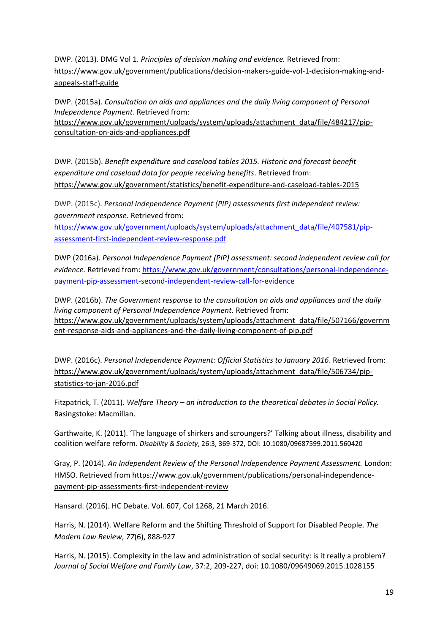DWP. (2013). DMG Vol 1. *Principles of decision making and evidence.* Retrieved from: [https://www.gov.uk/government/publications/decision-makers-guide-vol-1-decision-making-and](https://www.gov.uk/government/publications/decision-makers-guide-vol-1-decision-making-and-appeals-staff-guide)[appeals-staff-guide](https://www.gov.uk/government/publications/decision-makers-guide-vol-1-decision-making-and-appeals-staff-guide)

DWP. (2015a). *Consultation on aids and appliances and the daily living component of Personal Independence Payment.* Retrieved from:

[https://www.gov.uk/government/uploads/system/uploads/attachment\\_data/file/484217/pip](https://www.gov.uk/government/uploads/system/uploads/attachment_data/file/484217/pip-consultation-on-aids-and-appliances.pdf)[consultation-on-aids-and-appliances.pdf](https://www.gov.uk/government/uploads/system/uploads/attachment_data/file/484217/pip-consultation-on-aids-and-appliances.pdf)

DWP. (2015b). *Benefit expenditure and caseload tables 2015. Historic and forecast benefit expenditure and caseload data for people receiving benefits*. Retrieved from: <https://www.gov.uk/government/statistics/benefit-expenditure-and-caseload-tables-2015>

DWP. (2015c). *Personal Independence Payment (PIP) assessments first independent review: government response.* Retrieved from:

[https://www.gov.uk/government/uploads/system/uploads/attachment\\_data/file/407581/pip](https://www.gov.uk/government/uploads/system/uploads/attachment_data/file/407581/pip-assessment-first-independent-review-response.pdf)[assessment-first-independent-review-response.pdf](https://www.gov.uk/government/uploads/system/uploads/attachment_data/file/407581/pip-assessment-first-independent-review-response.pdf)

DWP (2016a). *Personal Independence Payment (PIP) assessment: second independent review call for evidence.* Retrieved from: [https://www.gov.uk/government/consultations/personal-independence](https://www.gov.uk/government/consultations/personal-independence-payment-pip-assessment-second-independent-review-call-for-evidence)[payment-pip-assessment-second-independent-review-call-for-evidence](https://www.gov.uk/government/consultations/personal-independence-payment-pip-assessment-second-independent-review-call-for-evidence)

DWP. (2016b). *The Government response to the consultation on aids and appliances and the daily living component of Personal Independence Payment.* Retrieved from: [https://www.gov.uk/government/uploads/system/uploads/attachment\\_data/file/507166/governm](https://www.gov.uk/government/uploads/system/uploads/attachment_data/file/507166/government-response-aids-and-appliances-and-the-daily-living-component-of-pip.pdf) [ent-response-aids-and-appliances-and-the-daily-living-component-of-pip.pdf](https://www.gov.uk/government/uploads/system/uploads/attachment_data/file/507166/government-response-aids-and-appliances-and-the-daily-living-component-of-pip.pdf)

DWP. (2016c). *Personal Independence Payment: Official Statistics to January 2016*. Retrieved from: [https://www.gov.uk/government/uploads/system/uploads/attachment\\_data/file/506734/pip](https://www.gov.uk/government/uploads/system/uploads/attachment_data/file/506734/pip-statistics-to-jan-2016.pdf)[statistics-to-jan-2016.pdf](https://www.gov.uk/government/uploads/system/uploads/attachment_data/file/506734/pip-statistics-to-jan-2016.pdf)

Fitzpatrick, T. (2011). *Welfare Theory – an introduction to the theoretical debates in Social Policy.*  Basingstoke: Macmillan.

Garthwaite, K. (2011). 'The language of shirkers and scroungers?' Talking about illness, disability and coalition welfare reform. *Disability & Society*, 26:3, 369-372, DOI: 10.1080/09687599.2011.560420

Gray, P. (2014). *An Independent Review of the Personal Independence Payment Assessment.* London: HMSO. Retrieved from [https://www.gov.uk/government/publications/personal-independence](https://www.gov.uk/government/publications/personal-independence-payment-pip-assessments-first-independent-review)[payment-pip-assessments-first-independent-review](https://www.gov.uk/government/publications/personal-independence-payment-pip-assessments-first-independent-review)

Hansard. (2016). HC Debate. Vol. 607, Col 1268, 21 March 2016.

Harris, N. (2014). Welfare Reform and the Shifting Threshold of Support for Disabled People. *The Modern Law Review*, *77*(6), 888-927

Harris, N. (2015). Complexity in the law and administration of social security: is it really a problem? *Journal of Social Welfare and Family Law*, 37:2, 209-227, doi: 10.1080/09649069.2015.1028155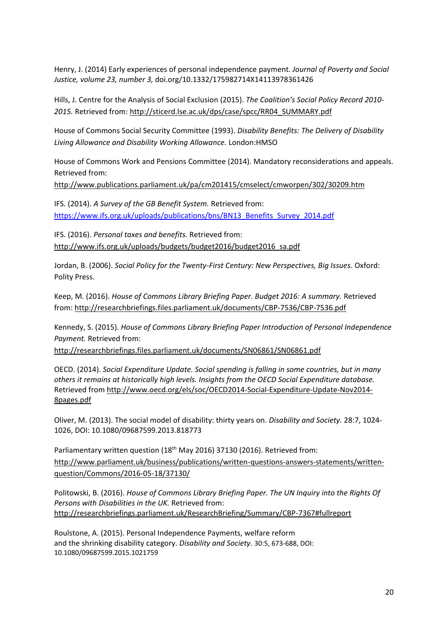Henry, J. (2014) Early experiences of personal independence payment. *Journal of Poverty and Social Justice, volume 23, number 3,* doi.org/10.1332/175982714X14113978361426

Hills, J. Centre for the Analysis of Social Exclusion (2015). *The Coalition's Social Policy Record 2010- 2015.* Retrieved from: [http://sticerd.lse.ac.uk/dps/case/spcc/RR04\\_SUMMARY.pdf](http://sticerd.lse.ac.uk/dps/case/spcc/RR04_SUMMARY.pdf)

House of Commons Social Security Committee (1993). *Disability Benefits: The Delivery of Disability Living Allowance and Disability Working Allowance.* London:HMSO

House of Commons Work and Pensions Committee (2014). Mandatory reconsiderations and appeals. Retrieved from:

<http://www.publications.parliament.uk/pa/cm201415/cmselect/cmworpen/302/30209.htm>

IFS. (2014). *A Survey of the GB Benefit System.* Retrieved from: [https://www.ifs.org.uk/uploads/publications/bns/BN13\\_Benefits\\_Survey\\_2014.pdf](https://www.ifs.org.uk/uploads/publications/bns/BN13_Benefits_Survey_2014.pdf)

IFS. (2016). *Personal taxes and benefits.* Retrieved from: [http://www.ifs.org.uk/uploads/budgets/budget2016/budget2016\\_sa.pdf](http://www.ifs.org.uk/uploads/budgets/budget2016/budget2016_sa.pdf)

Jordan, B. (2006). *Social Policy for the Twenty-First Century: New Perspectives, Big Issues.* Oxford: Polity Press.

Keep, M. (2016). *House of Commons Library Briefing Paper. Budget 2016: A summary.* Retrieved from:<http://researchbriefings.files.parliament.uk/documents/CBP-7536/CBP-7536.pdf>

Kennedy, S. (2015). *House of Commons Library Briefing Paper Introduction of Personal Independence Payment.* Retrieved from:

<http://researchbriefings.files.parliament.uk/documents/SN06861/SN06861.pdf>

OECD. (2014). *Social Expenditure Update. Social spending is falling in some countries, but in many others it remains at historically high levels. Insights from the OECD Social Expenditure database.*  Retrieved from [http://www.oecd.org/els/soc/OECD2014-Social-Expenditure-Update-Nov2014-](http://www.oecd.org/els/soc/OECD2014-Social-Expenditure-Update-Nov2014-8pages.pdf) [8pages.pdf](http://www.oecd.org/els/soc/OECD2014-Social-Expenditure-Update-Nov2014-8pages.pdf)

Oliver, M. (2013). The social model of disability: thirty years on. *Disability and Society.* 28:7, 1024- 1026, DOI: 10.1080/09687599.2013.818773

Parliamentary written question (18<sup>th</sup> May 2016) 37130 (2016). Retrieved from: [http://www.parliament.uk/business/publications/written-questions-answers-statements/written](http://www.parliament.uk/business/publications/written-questions-answers-statements/written-question/Commons/2016-05-18/37130/)[question/Commons/2016-05-18/37130/](http://www.parliament.uk/business/publications/written-questions-answers-statements/written-question/Commons/2016-05-18/37130/)

Politowski, B. (2016). *House of Commons Library Briefing Paper. The UN Inquiry into the Rights Of Persons with Disabilities in the UK.* Retrieved from: <http://researchbriefings.parliament.uk/ResearchBriefing/Summary/CBP-7367#fullreport>

Roulstone, A. (2015). Personal Independence Payments, welfare reform and the shrinking disability category. *Disability and Society.* 30:5, 673-688, DOI: 10.1080/09687599.2015.1021759